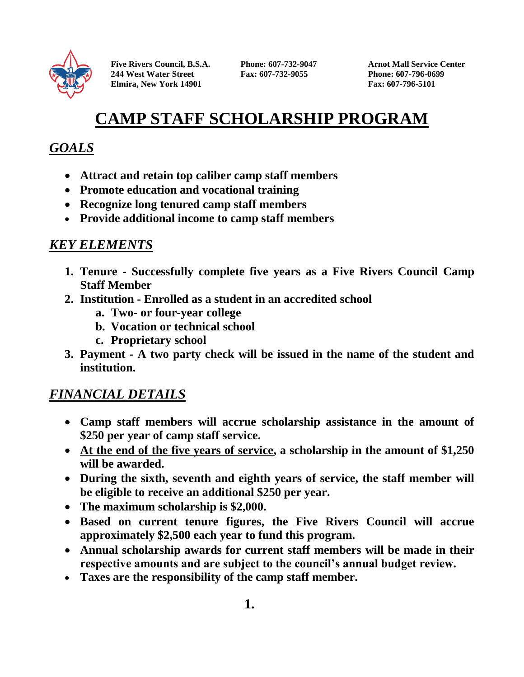

**Five Rivers Council, B.S.A. Phone: 607-732-9047 Arnot Mall Service Center 244 West Water Street Fax: 607-732-9055 Phone: 607-796-0699 Elmira, New York 14901 Fax: 607-796-5101** 

# **CAMP STAFF SCHOLARSHIP PROGRAM**

## *GOALS*

- **Attract and retain top caliber camp staff members**
- **Promote education and vocational training**
- **Recognize long tenured camp staff members**
- **Provide additional income to camp staff members**

## *KEY ELEMENTS*

- **1. Tenure - Successfully complete five years as a Five Rivers Council Camp Staff Member**
- **2. Institution - Enrolled as a student in an accredited school**
	- **a. Two- or four-year college**
	- **b. Vocation or technical school**
	- **c. Proprietary school**
- **3. Payment - A two party check will be issued in the name of the student and institution.**

### *FINANCIAL DETAILS*

- **Camp staff members will accrue scholarship assistance in the amount of \$250 per year of camp staff service.**
- **At the end of the five years of service, a scholarship in the amount of \$1,250 will be awarded.**
- **During the sixth, seventh and eighth years of service, the staff member will be eligible to receive an additional \$250 per year.**
- **The maximum scholarship is \$2,000.**
- **Based on current tenure figures, the Five Rivers Council will accrue approximately \$2,500 each year to fund this program.**
- **Annual scholarship awards for current staff members will be made in their respective amounts and are subject to the council's annual budget review.**
- **Taxes are the responsibility of the camp staff member.**